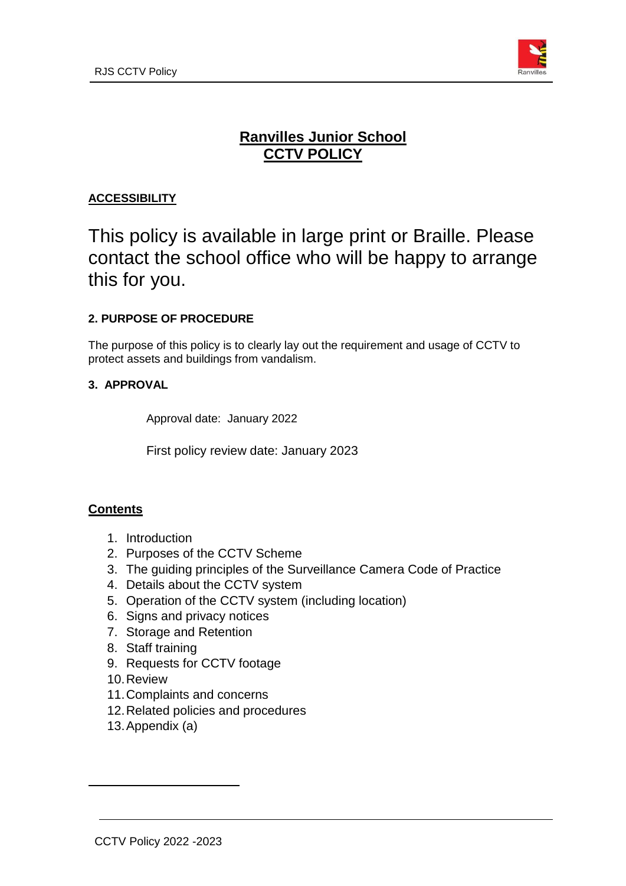

# **Ranvilles Junior School CCTV POLICY**

# **ACCESSIBILITY**

# This policy is available in large print or Braille. Please contact the school office who will be happy to arrange this for you.

# **2. PURPOSE OF PROCEDURE**

The purpose of this policy is to clearly lay out the requirement and usage of CCTV to protect assets and buildings from vandalism.

#### **3. APPROVAL**

Approval date: January 2022

First policy review date: January 2023

#### **Contents**

- 1. Introduction
- 2. Purposes of the CCTV Scheme
- 3. The guiding principles of the Surveillance Camera Code of Practice
- 4. Details about the CCTV system
- 5. Operation of the CCTV system (including location)
- 6. Signs and privacy notices
- 7. Storage and Retention
- 8. Staff training
- 9. Requests for CCTV footage
- 10.Review
- 11.Complaints and concerns
- 12.Related policies and procedures
- 13.Appendix (a)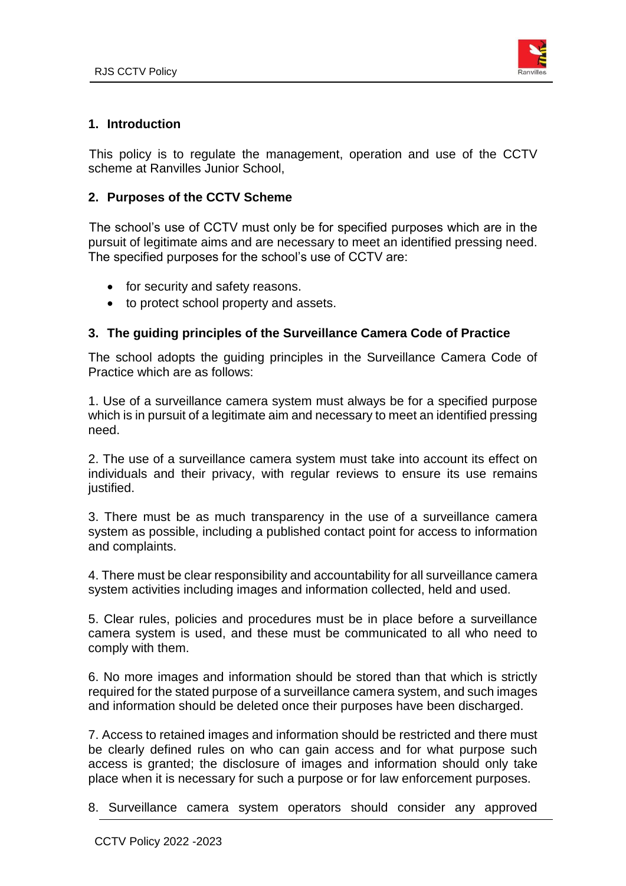

#### **1. Introduction**

 This policy is to regulate the management, operation and use of the CCTV scheme at Ranvilles Junior School,

#### **2. Purposes of the CCTV Scheme**

 The school's use of CCTV must only be for specified purposes which are in the pursuit of legitimate aims and are necessary to meet an identified pressing need. The specified purposes for the school's use of CCTV are:

- for security and safety reasons.
- to protect school property and assets.

#### **3. The guiding principles of the Surveillance Camera Code of Practice**

The school adopts the guiding principles in the Surveillance Camera Code of Practice which are as follows:

1. Use of a surveillance camera system must always be for a specified purpose which is in pursuit of a legitimate aim and necessary to meet an identified pressing need.

2. The use of a surveillance camera system must take into account its effect on individuals and their privacy, with regular reviews to ensure its use remains justified.

3. There must be as much transparency in the use of a surveillance camera system as possible, including a published contact point for access to information and complaints.

4. There must be clear responsibility and accountability for all surveillance camera system activities including images and information collected, held and used.

5. Clear rules, policies and procedures must be in place before a surveillance camera system is used, and these must be communicated to all who need to comply with them.

6. No more images and information should be stored than that which is strictly required for the stated purpose of a surveillance camera system, and such images and information should be deleted once their purposes have been discharged.

7. Access to retained images and information should be restricted and there must be clearly defined rules on who can gain access and for what purpose such access is granted; the disclosure of images and information should only take place when it is necessary for such a purpose or for law enforcement purposes.

8. Surveillance camera system operators should consider any approved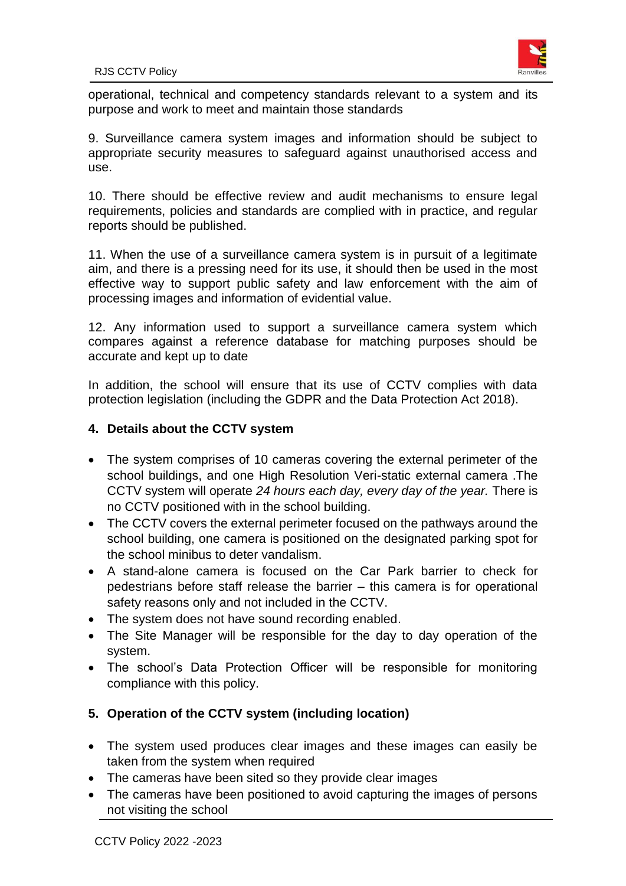

operational, technical and competency standards relevant to a system and its purpose and work to meet and maintain those standards

9. Surveillance camera system images and information should be subject to appropriate security measures to safeguard against unauthorised access and use.

10. There should be effective review and audit mechanisms to ensure legal requirements, policies and standards are complied with in practice, and regular reports should be published.

11. When the use of a surveillance camera system is in pursuit of a legitimate aim, and there is a pressing need for its use, it should then be used in the most effective way to support public safety and law enforcement with the aim of processing images and information of evidential value.

12. Any information used to support a surveillance camera system which compares against a reference database for matching purposes should be accurate and kept up to date

In addition, the school will ensure that its use of CCTV complies with data protection legislation (including the GDPR and the Data Protection Act 2018).

## **4. Details about the CCTV system**

- The system comprises of 10 cameras covering the external perimeter of the school buildings, and one High Resolution Veri-static external camera .The CCTV system will operate *24 hours each day, every day of the year.* There is no CCTV positioned with in the school building.
- The CCTV covers the external perimeter focused on the pathways around the school building, one camera is positioned on the designated parking spot for the school minibus to deter vandalism.
- A stand-alone camera is focused on the Car Park barrier to check for pedestrians before staff release the barrier – this camera is for operational safety reasons only and not included in the CCTV.
- The system does not have sound recording enabled.
- The Site Manager will be responsible for the day to day operation of the system.
- The school's Data Protection Officer will be responsible for monitoring compliance with this policy.

# **5. Operation of the CCTV system (including location)**

- The system used produces clear images and these images can easily be taken from the system when required
- The cameras have been sited so they provide clear images
- The cameras have been positioned to avoid capturing the images of persons not visiting the school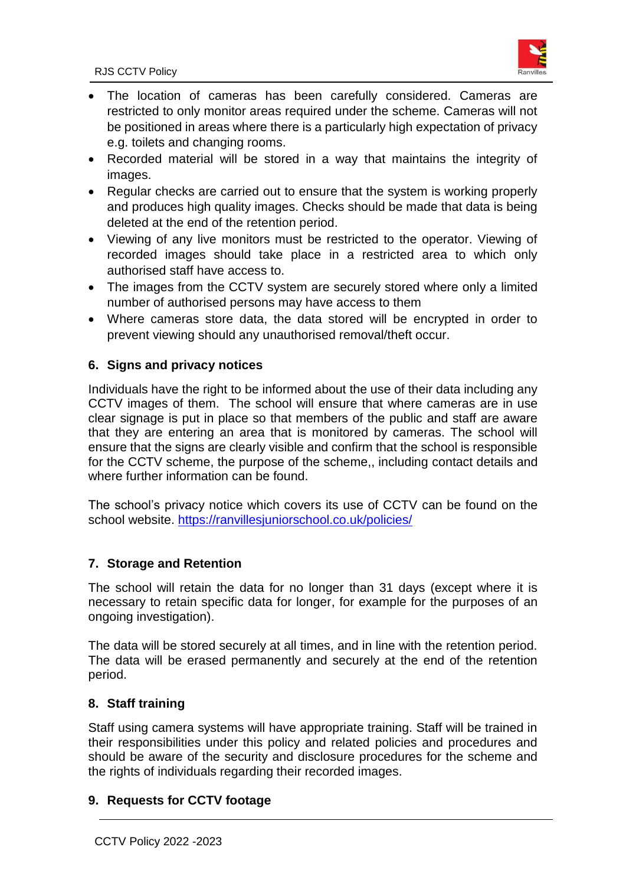

- The location of cameras has been carefully considered. Cameras are restricted to only monitor areas required under the scheme. Cameras will not be positioned in areas where there is a particularly high expectation of privacy e.g. toilets and changing rooms.
- Recorded material will be stored in a way that maintains the integrity of images.
- Regular checks are carried out to ensure that the system is working properly and produces high quality images. Checks should be made that data is being deleted at the end of the retention period.
- Viewing of any live monitors must be restricted to the operator. Viewing of recorded images should take place in a restricted area to which only authorised staff have access to.
- The images from the CCTV system are securely stored where only a limited number of authorised persons may have access to them
- Where cameras store data, the data stored will be encrypted in order to prevent viewing should any unauthorised removal/theft occur.

# **6. Signs and privacy notices**

Individuals have the right to be informed about the use of their data including any CCTV images of them. The school will ensure that where cameras are in use clear signage is put in place so that members of the public and staff are aware that they are entering an area that is monitored by cameras. The school will ensure that the signs are clearly visible and confirm that the school is responsible for the CCTV scheme, the purpose of the scheme,, including contact details and where further information can be found.

The school's privacy notice which covers its use of CCTV can be found on the school website. <https://ranvillesjuniorschool.co.uk/policies/>

# **7. Storage and Retention**

The school will retain the data for no longer than 31 days (except where it is necessary to retain specific data for longer, for example for the purposes of an ongoing investigation).

The data will be stored securely at all times, and in line with the retention period. The data will be erased permanently and securely at the end of the retention period.

# **8. Staff training**

Staff using camera systems will have appropriate training. Staff will be trained in their responsibilities under this policy and related policies and procedures and should be aware of the security and disclosure procedures for the scheme and the rights of individuals regarding their recorded images.

# **9. Requests for CCTV footage**